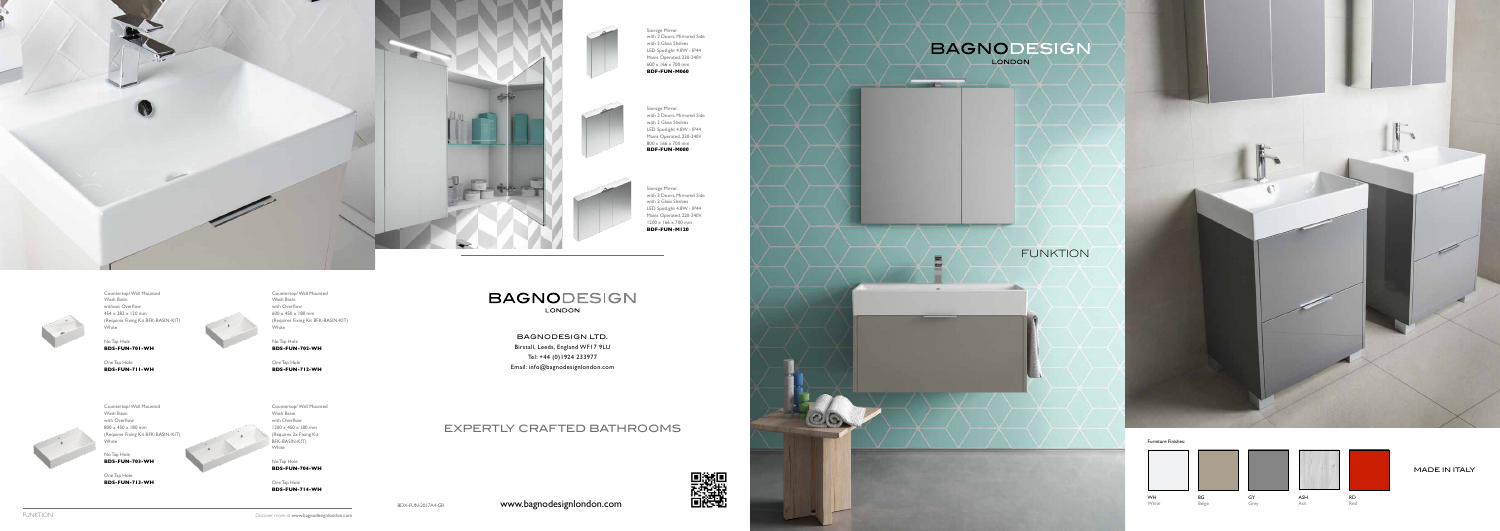



Countertop/ Wall Mounted Wash Basin without Overflow 454 x 282 x 120 mm (Requires Fixing Kit BFK-BASIN-KIT) White

No Tap Hole **BDS-FUN-701-WH**

One Tap Hole **BDS-FUN-711-WH**



Countertop/ Wall Mounted Wash Basin with Overflow 600 x 450 x 180 mm (Requires Fixing Kit BFK-BASIN-KIT) White

Countertop/ Wall Mounted Wash Basin with Overflow 1200 x 450 x 180 mm (Requires 2x Fixing Kit BFK-BASIN-KIT) **White** 

No Tap Hole **BDS-FUN-702-WH**

One Tap Hole **BDS-FUN-712-WH**



No Tap Hole **BDS-FUN-703-WH**

One Tap Hole **BDS-FUN-713-WH**

No Tap Hole **BDS-FUN-704-WH**

One Tap Hole **BDS-FUN-714-WH**

### **BAGNODESIGN** LONDON



Storage Mirror with 2 Doors, Mirrored Side with 2 Glass Shelves LED Spotlight 4.8W - IP44 Mains Operated, 220-240V 600 x 166 x 700 mm **BDF-FUN-M060**

Storage Mirror

with 2 Doors, Mirrored Side with 2 Glass Shelves LED Spotlight 4.8W - IP44 Mains Operated, 220-240V 800 x 166 x 700 mm **BDF-FUN-M080**



Storage Mirror with 3 Doors, Mirrored Side with 2 Glass Shelves LED Spotlight 4.8W - IP44 Mains Operated, 220-240V 1200 x 166 x 700 mm

**BDF-FUN-M120**



BAGNODESIGN LTD. Birstall, Leeds, England WF17 9LU Tel: +44 (0)1924 233977 Email: info@bagnodesignlondon.com

## EXPERTLY CRAFTED BATHROOMS

www.bagnodesignlondon.com



BDX-FUN-2017A4-GR